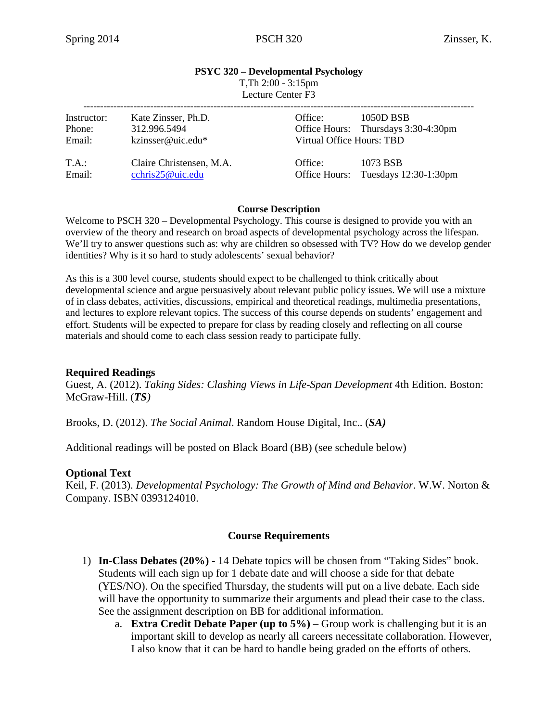#### **PSYC 320 – Developmental Psychology** T,Th 2:00 - 3:15pm  $\overline{L}$  ecture Center  $\overline{F}$ 3

| Lecture Center F3 |  |  |
|-------------------|--|--|
|                   |  |  |

| Instructor:<br>Phone:<br>Email: | Kate Zinsser, Ph.D.<br>312.996.5494<br>kzinsser@uic.edu* | 1050D BSB<br>Office:<br>Office Hours: Thursdays 3:30-4:30pm<br>Virtual Office Hours: TBD |                                                 |
|---------------------------------|----------------------------------------------------------|------------------------------------------------------------------------------------------|-------------------------------------------------|
| T.A.:<br>Email:                 | Claire Christensen, M.A.<br>cchris25@uic.edu             | Office:                                                                                  | 1073 BSB<br>Office Hours: Tuesdays 12:30-1:30pm |

#### **Course Description**

Welcome to PSCH 320 – Developmental Psychology. This course is designed to provide you with an overview of the theory and research on broad aspects of developmental psychology across the lifespan. We'll try to answer questions such as: why are children so obsessed with TV? How do we develop gender identities? Why is it so hard to study adolescents' sexual behavior?

As this is a 300 level course, students should expect to be challenged to think critically about developmental science and argue persuasively about relevant public policy issues. We will use a mixture of in class debates, activities, discussions, empirical and theoretical readings, multimedia presentations, and lectures to explore relevant topics. The success of this course depends on students' engagement and effort. Students will be expected to prepare for class by reading closely and reflecting on all course materials and should come to each class session ready to participate fully.

### **Required Readings**

Guest, A. (2012). *Taking Sides: Clashing Views in Life-Span Development* 4th Edition. Boston: McGraw-Hill. (*TS)*

Brooks, D. (2012). *The Social Animal*. Random House Digital, Inc.. (*SA)*

Additional readings will be posted on Black Board (BB) (see schedule below)

### **Optional Text**

Keil, F. (2013). *Developmental Psychology: The Growth of Mind and Behavior*. W.W. Norton & Company. ISBN 0393124010.

### **Course Requirements**

- 1) **In-Class Debates (20%)**  14 Debate topics will be chosen from "Taking Sides" book. Students will each sign up for 1 debate date and will choose a side for that debate (YES/NO). On the specified Thursday, the students will put on a live debate. Each side will have the opportunity to summarize their arguments and plead their case to the class. See the assignment description on BB for additional information.
	- a. **Extra Credit Debate Paper (up to 5%)** Group work is challenging but it is an important skill to develop as nearly all careers necessitate collaboration. However, I also know that it can be hard to handle being graded on the efforts of others.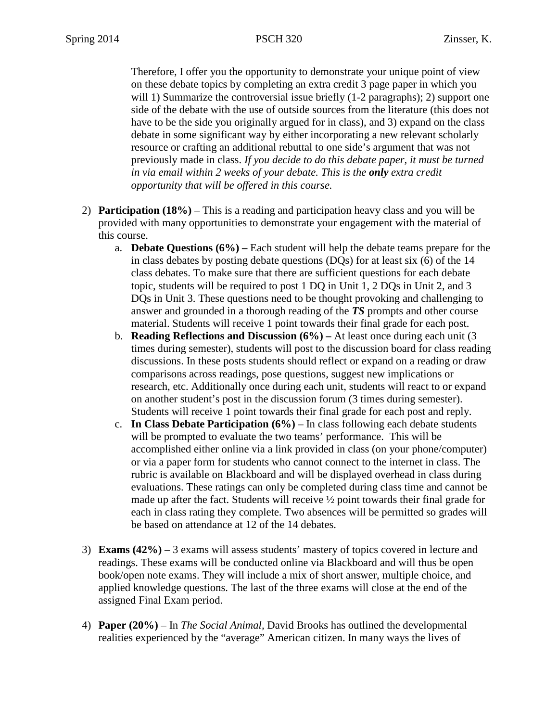Therefore, I offer you the opportunity to demonstrate your unique point of view on these debate topics by completing an extra credit 3 page paper in which you will 1) Summarize the controversial issue briefly (1-2 paragraphs); 2) support one side of the debate with the use of outside sources from the literature (this does not have to be the side you originally argued for in class), and 3) expand on the class debate in some significant way by either incorporating a new relevant scholarly resource or crafting an additional rebuttal to one side's argument that was not previously made in class. *If you decide to do this debate paper, it must be turned in via email within 2 weeks of your debate. This is the only extra credit opportunity that will be offered in this course.*

- 2) **Participation (18%)**  This is a reading and participation heavy class and you will be provided with many opportunities to demonstrate your engagement with the material of this course.
	- a. **Debate Questions (6%) –** Each student will help the debate teams prepare for the in class debates by posting debate questions (DQs) for at least six (6) of the 14 class debates. To make sure that there are sufficient questions for each debate topic, students will be required to post 1 DQ in Unit 1, 2 DQs in Unit 2, and 3 DQs in Unit 3. These questions need to be thought provoking and challenging to answer and grounded in a thorough reading of the *TS* prompts and other course material. Students will receive 1 point towards their final grade for each post.
	- b. **Reading Reflections and Discussion (6%) –** At least once during each unit (3 times during semester), students will post to the discussion board for class reading discussions. In these posts students should reflect or expand on a reading or draw comparisons across readings, pose questions, suggest new implications or research, etc. Additionally once during each unit, students will react to or expand on another student's post in the discussion forum (3 times during semester). Students will receive 1 point towards their final grade for each post and reply.
	- c. **In Class Debate Participation (6%)** In class following each debate students will be prompted to evaluate the two teams' performance. This will be accomplished either online via a link provided in class (on your phone/computer) or via a paper form for students who cannot connect to the internet in class. The rubric is available on Blackboard and will be displayed overhead in class during evaluations. These ratings can only be completed during class time and cannot be made up after the fact. Students will receive ½ point towards their final grade for each in class rating they complete. Two absences will be permitted so grades will be based on attendance at 12 of the 14 debates.
- 3) **Exams (42%)** 3 exams will assess students' mastery of topics covered in lecture and readings. These exams will be conducted online via Blackboard and will thus be open book/open note exams. They will include a mix of short answer, multiple choice, and applied knowledge questions. The last of the three exams will close at the end of the assigned Final Exam period.
- 4) **Paper (20%)** In *The Social Animal,* David Brooks has outlined the developmental realities experienced by the "average" American citizen. In many ways the lives of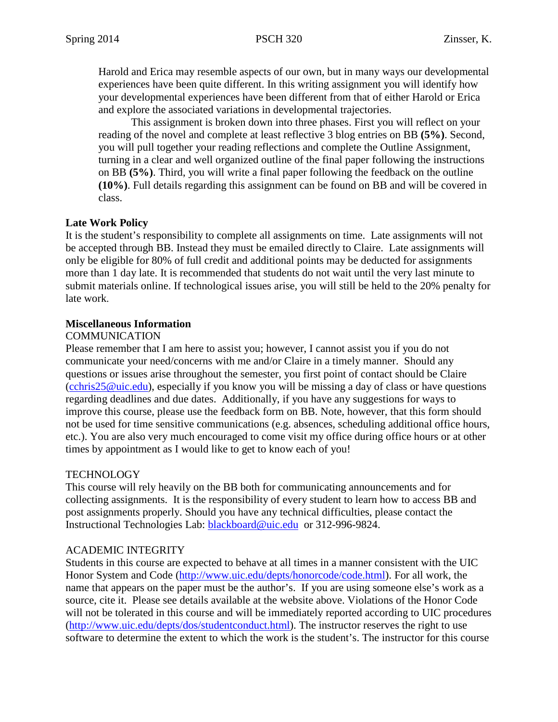Harold and Erica may resemble aspects of our own, but in many ways our developmental experiences have been quite different. In this writing assignment you will identify how your developmental experiences have been different from that of either Harold or Erica and explore the associated variations in developmental trajectories.

This assignment is broken down into three phases. First you will reflect on your reading of the novel and complete at least reflective 3 blog entries on BB **(5%)**. Second, you will pull together your reading reflections and complete the Outline Assignment, turning in a clear and well organized outline of the final paper following the instructions on BB **(5%)**. Third, you will write a final paper following the feedback on the outline **(10%)**. Full details regarding this assignment can be found on BB and will be covered in class.

# **Late Work Policy**

It is the student's responsibility to complete all assignments on time. Late assignments will not be accepted through BB. Instead they must be emailed directly to Claire. Late assignments will only be eligible for 80% of full credit and additional points may be deducted for assignments more than 1 day late. It is recommended that students do not wait until the very last minute to submit materials online. If technological issues arise, you will still be held to the 20% penalty for late work.

## **Miscellaneous Information**

## COMMUNICATION

Please remember that I am here to assist you; however, I cannot assist you if you do not communicate your need/concerns with me and/or Claire in a timely manner. Should any questions or issues arise throughout the semester, you first point of contact should be Claire [\(cchris25@uic.edu\)](mailto:cchris25@uic.edu), especially if you know you will be missing a day of class or have questions regarding deadlines and due dates. Additionally, if you have any suggestions for ways to improve this course, please use the feedback form on BB. Note, however, that this form should not be used for time sensitive communications (e.g. absences, scheduling additional office hours, etc.). You are also very much encouraged to come visit my office during office hours or at other times by appointment as I would like to get to know each of you!

# **TECHNOLOGY**

This course will rely heavily on the BB both for communicating announcements and for collecting assignments. It is the responsibility of every student to learn how to access BB and post assignments properly. Should you have any technical difficulties, please contact the Instructional Technologies Lab: [blackboard@uic.edu](mailto:blackboard@uic.edu) or 312-996-9824.

# ACADEMIC INTEGRITY

Students in this course are expected to behave at all times in a manner consistent with the UIC Honor System and Code [\(http://www.uic.edu/depts/honorcode/code.html\)](http://www.uic.edu/depts/honorcode/code.html). For all work, the name that appears on the paper must be the author's. If you are using someone else's work as a source, cite it. Please see details available at the website above. Violations of the Honor Code will not be tolerated in this course and will be immediately reported according to UIC procedures [\(http://www.uic.edu/depts/dos/studentconduct.html\)](http://www.uic.edu/depts/dos/studentconduct.html). The instructor reserves the right to use software to determine the extent to which the work is the student's. The instructor for this course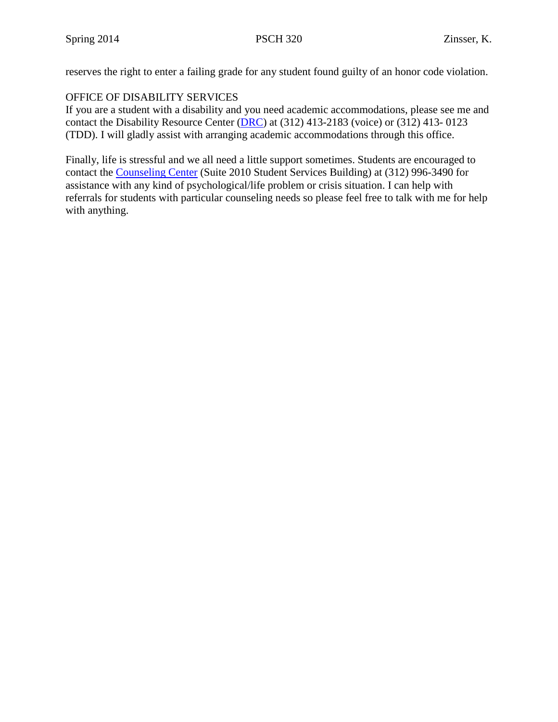reserves the right to enter a failing grade for any student found guilty of an honor code violation.

# OFFICE OF DISABILITY SERVICES

If you are a student with a disability and you need academic accommodations, please see me and contact the Disability Resource Center [\(DRC\)](http://www.uic.edu/depts/oaa/disability_resources/index.html) at (312) 413-2183 (voice) or (312) 413- 0123 (TDD). I will gladly assist with arranging academic accommodations through this office.

Finally, life is stressful and we all need a little support sometimes. Students are encouraged to contact the [Counseling Center](http://www.uic.edu/depts/counseling/) (Suite 2010 Student Services Building) at (312) 996-3490 for assistance with any kind of psychological/life problem or crisis situation. I can help with referrals for students with particular counseling needs so please feel free to talk with me for help with anything.